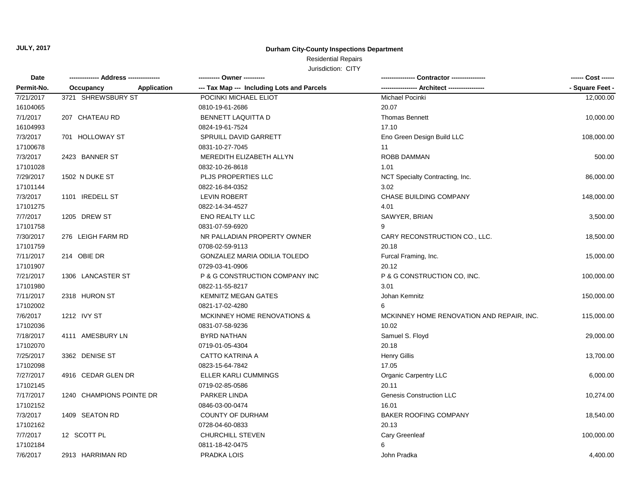#### **Durham City-County Inspections Department**

## Residential Repairs

| Date       |                                 |                                            | ------ Cost ------                        |                 |
|------------|---------------------------------|--------------------------------------------|-------------------------------------------|-----------------|
| Permit-No. | <b>Application</b><br>Occupancy | --- Tax Map --- Including Lots and Parcels | -- Architect -----------------            | - Square Feet - |
| 7/21/2017  | 3721 SHREWSBURY ST              | POCINKI MICHAEL ELIOT                      | Michael Pocinki                           | 12,000.00       |
| 16104065   |                                 | 0810-19-61-2686                            | 20.07                                     |                 |
| 7/1/2017   | 207 CHATEAU RD                  | <b>BENNETT LAQUITTA D</b>                  | <b>Thomas Bennett</b>                     | 10,000.00       |
| 16104993   |                                 | 0824-19-61-7524                            | 17.10                                     |                 |
| 7/3/2017   | 701 HOLLOWAY ST                 | SPRUILL DAVID GARRETT                      | Eno Green Design Build LLC                | 108,000.00      |
| 17100678   |                                 | 0831-10-27-7045                            | 11                                        |                 |
| 7/3/2017   | 2423 BANNER ST                  | MEREDITH ELIZABETH ALLYN                   | <b>ROBB DAMMAN</b>                        | 500.00          |
| 17101028   |                                 | 0832-10-26-8618                            | 1.01                                      |                 |
| 7/29/2017  | 1502 N DUKE ST                  | <b>PLJS PROPERTIES LLC</b>                 | NCT Specialty Contracting, Inc.           | 86,000.00       |
| 17101144   |                                 | 0822-16-84-0352                            | 3.02                                      |                 |
| 7/3/2017   | 1101 IREDELL ST                 | <b>LEVIN ROBERT</b>                        | CHASE BUILDING COMPANY                    | 148,000.00      |
| 17101275   |                                 | 0822-14-34-4527                            | 4.01                                      |                 |
| 7/7/2017   | 1205 DREW ST                    | <b>ENO REALTY LLC</b>                      | SAWYER, BRIAN                             | 3,500.00        |
| 17101758   |                                 | 0831-07-59-6920                            | 9                                         |                 |
| 7/30/2017  | 276 LEIGH FARM RD               | NR PALLADIAN PROPERTY OWNER                | CARY RECONSTRUCTION CO., LLC.             | 18,500.00       |
| 17101759   |                                 | 0708-02-59-9113                            | 20.18                                     |                 |
| 7/11/2017  | 214 OBIE DR                     | GONZALEZ MARIA ODILIA TOLEDO               | Furcal Framing, Inc.                      | 15,000.00       |
| 17101907   |                                 | 0729-03-41-0906                            | 20.12                                     |                 |
| 7/21/2017  | 1306 LANCASTER ST               | P & G CONSTRUCTION COMPANY INC             | P & G CONSTRUCTION CO, INC.               | 100,000.00      |
| 17101980   |                                 | 0822-11-55-8217                            | 3.01                                      |                 |
| 7/11/2017  | 2318 HURON ST                   | <b>KEMNITZ MEGAN GATES</b>                 | Johan Kemnitz                             | 150,000.00      |
| 17102002   |                                 | 0821-17-02-4280                            | 6                                         |                 |
| 7/6/2017   | 1212 IVY ST                     | MCKINNEY HOME RENOVATIONS &                | MCKINNEY HOME RENOVATION AND REPAIR, INC. | 115,000.00      |
| 17102036   |                                 | 0831-07-58-9236                            | 10.02                                     |                 |
| 7/18/2017  | 4111 AMESBURY LN                | <b>BYRD NATHAN</b>                         | Samuel S. Floyd                           | 29,000.00       |
| 17102070   |                                 | 0719-01-05-4304                            | 20.18                                     |                 |
| 7/25/2017  | 3362 DENISE ST                  | <b>CATTO KATRINA A</b>                     | <b>Henry Gillis</b>                       | 13,700.00       |
| 17102098   |                                 | 0823-15-64-7842                            | 17.05                                     |                 |
| 7/27/2017  | 4916 CEDAR GLEN DR              | ELLER KARLI CUMMINGS                       | <b>Organic Carpentry LLC</b>              | 6,000.00        |
| 17102145   |                                 | 0719-02-85-0586                            | 20.11                                     |                 |
| 7/17/2017  | 1240 CHAMPIONS POINTE DR        | PARKER LINDA                               | <b>Genesis Construction LLC</b>           | 10,274.00       |
| 17102152   |                                 | 0846-03-00-0474                            | 16.01                                     |                 |
| 7/3/2017   | 1409 SEATON RD                  | COUNTY OF DURHAM                           | BAKER ROOFING COMPANY                     | 18,540.00       |
| 17102162   |                                 | 0728-04-60-0833                            | 20.13                                     |                 |
| 7/7/2017   | 12 SCOTT PL                     | <b>CHURCHILL STEVEN</b>                    | Cary Greenleaf                            | 100,000.00      |
| 17102184   |                                 | 0811-18-42-0475                            | 6                                         |                 |
| 7/6/2017   | 2913 HARRIMAN RD                | PRADKA LOIS                                | John Pradka                               | 4,400.00        |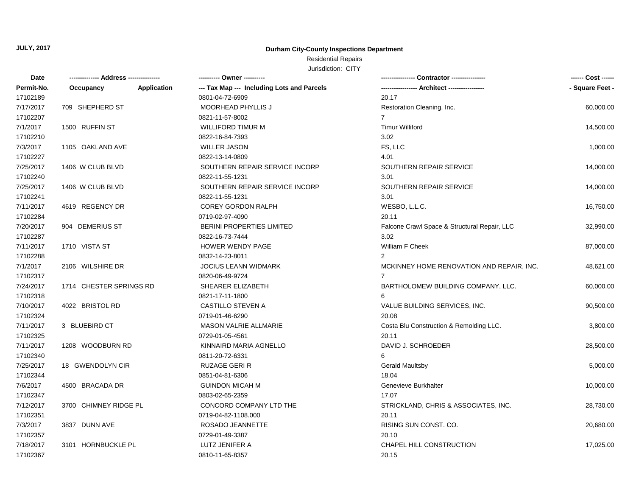## **Durham City-County Inspections Department**

## Residential Repairs

| Date       |                          | ---------- Owner ----------                |                                              | ------ Cost ------ |
|------------|--------------------------|--------------------------------------------|----------------------------------------------|--------------------|
| Permit-No. | Application<br>Occupancy | --- Tax Map --- Including Lots and Parcels |                                              | - Square Feet -    |
| 17102189   |                          | 0801-04-72-6909                            | 20.17                                        |                    |
| 7/17/2017  | 709 SHEPHERD ST          | <b>MOORHEAD PHYLLIS J</b>                  | Restoration Cleaning, Inc.                   | 60,000.00          |
| 17102207   |                          | 0821-11-57-8002                            | $\overline{7}$                               |                    |
| 7/1/2017   | 1500 RUFFIN ST           | <b>WILLIFORD TIMUR M</b>                   | <b>Timur Williford</b>                       | 14,500.00          |
| 17102210   |                          | 0822-16-84-7393                            | 3.02                                         |                    |
| 7/3/2017   | 1105 OAKLAND AVE         | <b>WILLER JASON</b>                        | FS, LLC                                      | 1,000.00           |
| 17102227   |                          | 0822-13-14-0809                            | 4.01                                         |                    |
| 7/25/2017  | 1406 W CLUB BLVD         | SOUTHERN REPAIR SERVICE INCORP             | SOUTHERN REPAIR SERVICE                      | 14,000.00          |
| 17102240   |                          | 0822-11-55-1231                            | 3.01                                         |                    |
| 7/25/2017  | 1406 W CLUB BLVD         | SOUTHERN REPAIR SERVICE INCORP             | SOUTHERN REPAIR SERVICE                      | 14,000.00          |
| 17102241   |                          | 0822-11-55-1231                            | 3.01                                         |                    |
| 7/11/2017  | 4619 REGENCY DR          | <b>COREY GORDON RALPH</b>                  | WESBO, L.L.C.                                | 16,750.00          |
| 17102284   |                          | 0719-02-97-4090                            | 20.11                                        |                    |
| 7/20/2017  | 904 DEMERIUS ST          | <b>BERINI PROPERTIES LIMITED</b>           | Falcone Crawl Space & Structural Repair, LLC | 32,990.00          |
| 17102287   |                          | 0822-16-73-7444                            | 3.02                                         |                    |
| 7/11/2017  | 1710 VISTA ST            | <b>HOWER WENDY PAGE</b>                    | William F Cheek                              | 87,000.00          |
| 17102288   |                          | 0832-14-23-8011                            | $\overline{2}$                               |                    |
| 7/1/2017   | 2106 WILSHIRE DR         | <b>JOCIUS LEANN WIDMARK</b>                | MCKINNEY HOME RENOVATION AND REPAIR, INC.    | 48,621.00          |
| 17102317   |                          | 0820-06-49-9724                            |                                              |                    |
| 7/24/2017  | 1714 CHESTER SPRINGS RD  | SHEARER ELIZABETH                          | BARTHOLOMEW BUILDING COMPANY, LLC.           | 60,000.00          |
| 17102318   |                          | 0821-17-11-1800                            |                                              |                    |
| 7/10/2017  | 4022 BRISTOL RD          | CASTILLO STEVEN A                          | VALUE BUILDING SERVICES, INC.                | 90,500.00          |
| 17102324   |                          | 0719-01-46-6290                            | 20.08                                        |                    |
| 7/11/2017  | 3 BLUEBIRD CT            | <b>MASON VALRIE ALLMARIE</b>               | Costa Blu Construction & Remolding LLC.      | 3,800.00           |
| 17102325   |                          | 0729-01-05-4561                            | 20.11                                        |                    |
| 7/11/2017  | 1208 WOODBURN RD         | KINNAIRD MARIA AGNELLO                     | DAVID J. SCHROEDER                           | 28,500.00          |
| 17102340   |                          | 0811-20-72-6331                            | 6                                            |                    |
| 7/25/2017  | 18 GWENDOLYN CIR         | <b>RUZAGE GERI R</b>                       | <b>Gerald Maultsby</b>                       | 5,000.00           |
| 17102344   |                          | 0851-04-81-6306                            | 18.04                                        |                    |
| 7/6/2017   | 4500 BRACADA DR          | <b>GUINDON MICAH M</b>                     | Genevieve Burkhalter                         | 10,000.00          |
| 17102347   |                          | 0803-02-65-2359                            | 17.07                                        |                    |
| 7/12/2017  | 3700 CHIMNEY RIDGE PL    | CONCORD COMPANY LTD THE                    | STRICKLAND, CHRIS & ASSOCIATES, INC.         | 28,730.00          |
| 17102351   |                          | 0719-04-82-1108.000                        | 20.11                                        |                    |
| 7/3/2017   | 3837 DUNN AVE            | ROSADO JEANNETTE                           | RISING SUN CONST. CO.                        | 20,680.00          |
| 17102357   |                          | 0729-01-49-3387                            | 20.10                                        |                    |
| 7/18/2017  | 3101 HORNBUCKLE PL       | LUTZ JENIFER A                             | CHAPEL HILL CONSTRUCTION                     | 17,025.00          |
| 17102367   |                          | 0810-11-65-8357                            | 20.15                                        |                    |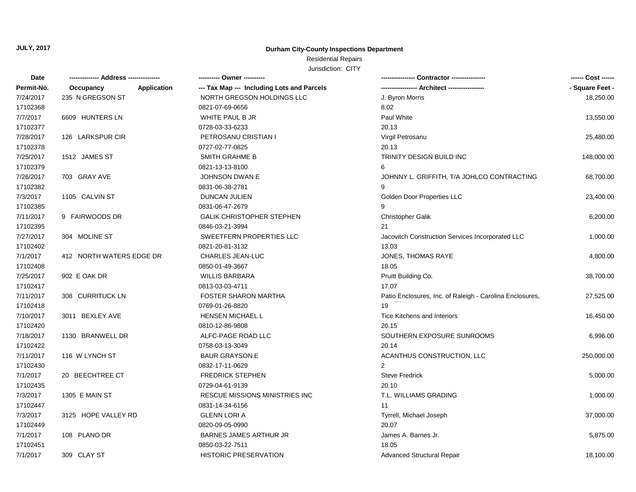#### **Durham City-County Inspections Department**

## Residential Repairs

| <b>Date</b> |                          | ---------- Owner ----------                |                                                          | ------ Cost ------ |
|-------------|--------------------------|--------------------------------------------|----------------------------------------------------------|--------------------|
| Permit-No.  | Occupancy<br>Application | --- Tax Map --- Including Lots and Parcels | ----------------- Architect -----------------            | - Square Feet -    |
| 7/24/2017   | 235 N GREGSON ST         | NORTH GREGSON HOLDINGS LLC                 | J. Byron Morris                                          | 18,250.00          |
| 17102368    |                          | 0821-07-69-0656                            | 8.02                                                     |                    |
| 7/7/2017    | 6609 HUNTERS LN          | WHITE PAUL B JR                            | Paul White                                               | 13,550.00          |
| 17102377    |                          | 0728-03-33-6233                            | 20.13                                                    |                    |
| 7/28/2017   | 126 LARKSPUR CIR         | PETROSANU CRISTIAN I                       | Virgil Petrosanu                                         | 25,480.00          |
| 17102378    |                          | 0727-02-77-0825                            | 20.13                                                    |                    |
| 7/25/2017   | 1512 JAMES ST            | <b>SMITH GRAHME B</b>                      | <b>TRINITY DESIGN BUILD INC</b>                          | 148,000.00         |
| 17102379    |                          | 0821-13-13-8100                            | 6                                                        |                    |
| 7/26/2017   | 703 GRAY AVE             | JOHNSON DWAN E                             | JOHNNY L. GRIFFITH, T/A JOHLCO CONTRACTING               | 68,700.00          |
| 17102382    |                          | 0831-06-38-2781                            | 9                                                        |                    |
| 7/3/2017    | 1105 CALVIN ST           | <b>DUNCAN JULIEN</b>                       | Golden Door Properties LLC                               | 23,400.00          |
| 17102385    |                          | 0831-06-47-2679                            | 9                                                        |                    |
| 7/11/2017   | 9 FAIRWOODS DR           | <b>GALIK CHRISTOPHER STEPHEN</b>           | <b>Christopher Galik</b>                                 | 6,200.00           |
| 17102395    |                          | 0846-03-21-3994                            | 21                                                       |                    |
| 7/27/2017   | 304 MOLINE ST            | SWEETFERN PROPERTIES LLC                   | Jacovitch Construction Services Incorporated LLC         | 1,000.00           |
| 17102402    |                          | 0821-20-81-3132                            | 13.03                                                    |                    |
| 7/1/2017    | 412 NORTH WATERS EDGE DR | <b>CHARLES JEAN-LUC</b>                    | JONES, THOMAS RAYE                                       | 4,800.00           |
| 17102408    |                          | 0850-01-49-3667                            | 18.05                                                    |                    |
| 7/25/2017   | 902 E OAK DR             | <b>WILLIS BARBARA</b>                      | Pruitt Building Co.                                      | 38,700.00          |
| 17102417    |                          | 0813-03-03-4711                            | 17.07                                                    |                    |
| 7/11/2017   | 308 CURRITUCK LN         | <b>FOSTER SHARON MARTHA</b>                | Patio Enclosures, Inc. of Raleigh - Carolina Enclosures, | 27,525.00          |
| 17102418    |                          | 0769-01-26-8820                            | 19                                                       |                    |
| 7/10/2017   | 3011 BEXLEY AVE          | <b>HENSEN MICHAEL L</b>                    | Tice Kitchens and Interiors                              | 16,450.00          |
| 17102420    |                          | 0810-12-86-9808                            | 20.15                                                    |                    |
| 7/18/2017   | 1130 BRANWELL DR         | ALFC-PAGE ROAD LLC                         | SOUTHERN EXPOSURE SUNROOMS                               | 6,996.00           |
| 17102422    |                          | 0758-03-13-3049                            | 20.14                                                    |                    |
| 7/11/2017   | 116 W LYNCH ST           | <b>BAUR GRAYSON E</b>                      | ACANTHUS CONSTRUCTION, LLC                               | 250,000.00         |
| 17102430    |                          | 0832-17-11-0629                            | $\mathcal{P}$                                            |                    |
| 7/1/2017    | 20 BEECHTREE CT          | <b>FREDRICK STEPHEN</b>                    | <b>Steve Fredrick</b>                                    | 5,000.00           |
| 17102435    |                          | 0729-04-61-9139                            | 20.10                                                    |                    |
| 7/3/2017    | 1305 E MAIN ST           | <b>RESCUE MISSIONS MINISTRIES INC</b>      | T.L. WILLIAMS GRADING                                    | 1,000.00           |
| 17102447    |                          | 0831-14-34-6156                            | 11                                                       |                    |
| 7/3/2017    | 3125 HOPE VALLEY RD      | <b>GLENN LORI A</b>                        | Tyrrell, Michael Joseph                                  | 37,000.00          |
| 17102449    |                          | 0820-09-05-0990                            | 20.07                                                    |                    |
| 7/1/2017    | 108 PLANO DR             | <b>BARNES JAMES ARTHUR JR</b>              | James A. Barnes Jr.                                      | 5,875.00           |
| 17102451    |                          | 0850-03-22-7511                            | 18.05                                                    |                    |
| 7/1/2017    | 309 CLAY ST              | <b>HISTORIC PRESERVATION</b>               | <b>Advanced Structural Repair</b>                        | 18,100.00          |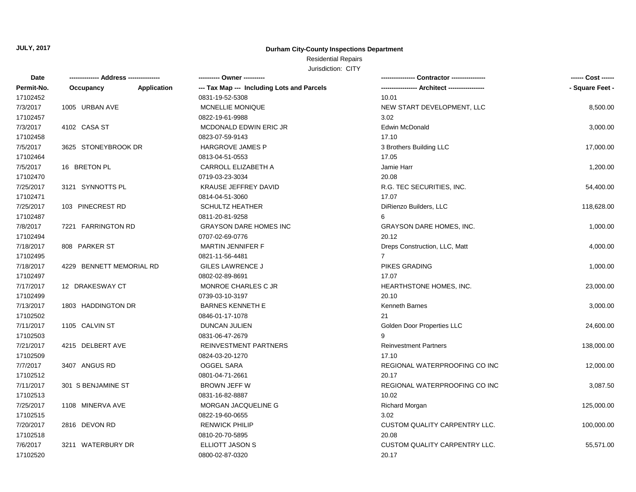## **Durham City-County Inspections Department**

# Residential Repairs

| Date       |                          |             | ---------- Owner ----------                |                                      | ------ Cost ------ |
|------------|--------------------------|-------------|--------------------------------------------|--------------------------------------|--------------------|
| Permit-No. | Occupancy                | Application | --- Tax Map --- Including Lots and Parcels |                                      | - Square Feet -    |
| 17102452   |                          |             | 0831-19-52-5308                            | 10.01                                |                    |
| 7/3/2017   | 1005 URBAN AVE           |             | MCNELLIE MONIQUE                           | NEW START DEVELOPMENT, LLC           | 8,500.00           |
| 17102457   |                          |             | 0822-19-61-9988                            | 3.02                                 |                    |
| 7/3/2017   | 4102 CASA ST             |             | MCDONALD EDWIN ERIC JR                     | Edwin McDonald                       | 3,000.00           |
| 17102458   |                          |             | 0823-07-59-9143                            | 17.10                                |                    |
| 7/5/2017   | 3625 STONEYBROOK DR      |             | <b>HARGROVE JAMES P</b>                    | 3 Brothers Building LLC              | 17,000.00          |
| 17102464   |                          |             | 0813-04-51-0553                            | 17.05                                |                    |
| 7/5/2017   | 16 BRETON PL             |             | CARROLL ELIZABETH A                        | Jamie Harr                           | 1,200.00           |
| 17102470   |                          |             | 0719-03-23-3034                            | 20.08                                |                    |
| 7/25/2017  | 3121 SYNNOTTS PL         |             | <b>KRAUSE JEFFREY DAVID</b>                | R.G. TEC SECURITIES, INC.            | 54,400.00          |
| 17102471   |                          |             | 0814-04-51-3060                            | 17.07                                |                    |
| 7/25/2017  | 103 PINECREST RD         |             | <b>SCHULTZ HEATHER</b>                     | DiRienzo Builders, LLC               | 118,628.00         |
| 17102487   |                          |             | 0811-20-81-9258                            | 6                                    |                    |
| 7/8/2017   | 7221 FARRINGTON RD       |             | GRAYSON DARE HOMES INC                     | <b>GRAYSON DARE HOMES, INC.</b>      | 1,000.00           |
| 17102494   |                          |             | 0707-02-69-0776                            | 20.12                                |                    |
| 7/18/2017  | 808 PARKER ST            |             | <b>MARTIN JENNIFER F</b>                   | Dreps Construction, LLC, Matt        | 4,000.00           |
| 17102495   |                          |             | 0821-11-56-4481                            | $\overline{7}$                       |                    |
| 7/18/2017  | 4229 BENNETT MEMORIAL RD |             | <b>GILES LAWRENCE J</b>                    | <b>PIKES GRADING</b>                 | 1,000.00           |
| 17102497   |                          |             | 0802-02-89-8691                            | 17.07                                |                    |
| 7/17/2017  | 12 DRAKESWAY CT          |             | MONROE CHARLES C JR                        | HEARTHSTONE HOMES, INC.              | 23,000.00          |
| 17102499   |                          |             | 0739-03-10-3197                            | 20.10                                |                    |
| 7/13/2017  | 1803 HADDINGTON DR       |             | <b>BARNES KENNETH E</b>                    | Kenneth Barnes                       | 3,000.00           |
| 17102502   |                          |             | 0846-01-17-1078                            | 21                                   |                    |
| 7/11/2017  | 1105 CALVIN ST           |             | DUNCAN JULIEN                              | Golden Door Properties LLC           | 24,600.00          |
| 17102503   |                          |             | 0831-06-47-2679                            | g                                    |                    |
| 7/21/2017  | 4215 DELBERT AVE         |             | REINVESTMENT PARTNERS                      | <b>Reinvestment Partners</b>         | 138,000.00         |
| 17102509   |                          |             | 0824-03-20-1270                            | 17.10                                |                    |
| 7/7/2017   | 3407 ANGUS RD            |             | <b>OGGEL SARA</b>                          | REGIONAL WATERPROOFING CO INC        | 12,000.00          |
| 17102512   |                          |             | 0801-04-71-2661                            | 20.17                                |                    |
| 7/11/2017  | 301 S BENJAMINE ST       |             | <b>BROWN JEFF W</b>                        | REGIONAL WATERPROOFING CO INC        | 3,087.50           |
| 17102513   |                          |             | 0831-16-82-8887                            | 10.02                                |                    |
| 7/25/2017  | 1108 MINERVA AVE         |             | MORGAN JACQUELINE G                        | <b>Richard Morgan</b>                | 125,000.00         |
| 17102515   |                          |             | 0822-19-60-0655                            | 3.02                                 |                    |
| 7/20/2017  | 2816 DEVON RD            |             | <b>RENWICK PHILIP</b>                      | <b>CUSTOM QUALITY CARPENTRY LLC.</b> | 100,000.00         |
| 17102518   |                          |             | 0810-20-70-5895                            | 20.08                                |                    |
| 7/6/2017   | 3211 WATERBURY DR        |             | ELLIOTT JASON S                            | <b>CUSTOM QUALITY CARPENTRY LLC.</b> | 55,571.00          |
| 17102520   |                          |             | 0800-02-87-0320                            | 20.17                                |                    |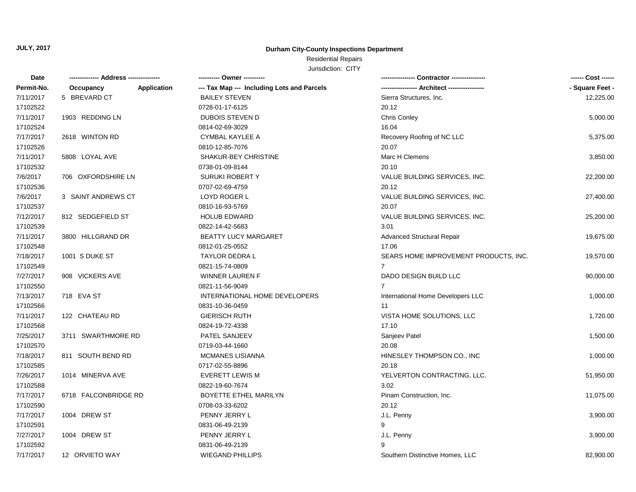#### **Durham City-County Inspections Department**

## Residential Repairs

| Date       | -------------- Address --------------- |             | ---------- Owner ----------                |                                       | ------ Cost ------ |
|------------|----------------------------------------|-------------|--------------------------------------------|---------------------------------------|--------------------|
| Permit-No. | Occupancy                              | Application | --- Tax Map --- Including Lots and Parcels |                                       | - Square Feet -    |
| 7/11/2017  | 5 BREVARD CT                           |             | <b>BAILEY STEVEN</b>                       | Sierra Structures, Inc.               | 12,225.00          |
| 17102522   |                                        |             | 0728-01-17-6125                            | 20.12                                 |                    |
| 7/11/2017  | 1903 REDDING LN                        |             | <b>DUBOIS STEVEN D</b>                     | <b>Chris Conley</b>                   | 5,000.00           |
| 17102524   |                                        |             | 0814-02-69-3029                            | 16.04                                 |                    |
| 7/17/2017  | 2618 WINTON RD                         |             | <b>CYMBAL KAYLEE A</b>                     | Recovery Roofing of NC LLC            | 5,375.00           |
| 17102526   |                                        |             | 0810-12-85-7076                            | 20.07                                 |                    |
| 7/11/2017  | 5808 LOYAL AVE                         |             | SHAKUR-BEY CHRISTINE                       | Marc H Clemens                        | 3,850.00           |
| 17102532   |                                        |             | 0738-01-09-8144                            | 20.10                                 |                    |
| 7/6/2017   | 706 OXFORDSHIRE LN                     |             | <b>SURUKI ROBERTY</b>                      | VALUE BUILDING SERVICES, INC.         | 22,200.00          |
| 17102536   |                                        |             | 0707-02-69-4759                            | 20.12                                 |                    |
| 7/6/2017   | 3 SAINT ANDREWS CT                     |             | LOYD ROGER L                               | VALUE BUILDING SERVICES, INC.         | 27,400.00          |
| 17102537   |                                        |             | 0810-16-93-5769                            | 20.07                                 |                    |
| 7/12/2017  | 812 SEDGEFIELD ST                      |             | <b>HOLUB EDWARD</b>                        | VALUE BUILDING SERVICES, INC.         | 25,200.00          |
| 17102539   |                                        |             | 0822-14-42-5683                            | 3.01                                  |                    |
| 7/11/2017  | 3800 HILLGRAND DR                      |             | <b>BEATTY LUCY MARGARET</b>                | <b>Advanced Structural Repair</b>     | 19,675.00          |
| 17102548   |                                        |             | 0812-01-25-0552                            | 17.06                                 |                    |
| 7/18/2017  | 1001 S DUKE ST                         |             | TAYLOR DEDRA L                             | SEARS HOME IMPROVEMENT PRODUCTS, INC. | 19,570.00          |
| 17102549   |                                        |             | 0821-15-74-0809                            | $\overline{7}$                        |                    |
| 7/27/2017  | 908 VICKERS AVE                        |             | WINNER LAUREN F                            | DADO DESIGN BUILD LLC                 | 90,000.00          |
| 17102550   |                                        |             | 0821-11-56-9049                            | 7                                     |                    |
| 7/13/2017  | 718 EVA ST                             |             | INTERNATIONAL HOME DEVELOPERS              | International Home Developers LLC     | 1,000.00           |
| 17102566   |                                        |             | 0831-10-36-0459                            | 11                                    |                    |
| 7/11/2017  | 122 CHATEAU RD                         |             | <b>GIERISCH RUTH</b>                       | VISTA HOME SOLUTIONS, LLC             | 1,720.00           |
| 17102568   |                                        |             | 0824-19-72-4338                            | 17.10                                 |                    |
| 7/25/2017  | 3711 SWARTHMORE RD                     |             | PATEL SANJEEV                              | Sanjeev Patel                         | 1,500.00           |
| 17102570   |                                        |             | 0719-03-44-1660                            | 20.08                                 |                    |
| 7/18/2017  | 811 SOUTH BEND RD                      |             | MCMANES LISIANNA                           | HINESLEY THOMPSON CO., INC            | 1,000.00           |
| 17102585   |                                        |             | 0717-02-55-8896                            | 20.18                                 |                    |
| 7/26/2017  | 1014 MINERVA AVE                       |             | <b>EVERETT LEWIS M</b>                     | YELVERTON CONTRACTING, LLC.           | 51,950.00          |
| 17102588   |                                        |             | 0822-19-60-7674                            | 3.02                                  |                    |
| 7/17/2017  | 6718 FALCONBRIDGE RD                   |             | BOYETTE ETHEL MARILYN                      | Pinam Construction, Inc.              | 11,075.00          |
| 17102590   |                                        |             | 0708-03-33-6202                            | 20.12                                 |                    |
| 7/17/2017  | 1004 DREW ST                           |             | PENNY JERRY L                              | J.L. Penny                            | 3,900.00           |
| 17102591   |                                        |             | 0831-06-49-2139                            | 9                                     |                    |
| 7/27/2017  | 1004 DREW ST                           |             | PENNY JERRY L                              | J.L. Penny                            | 3,900.00           |
| 17102592   |                                        |             | 0831-06-49-2139                            |                                       |                    |
| 7/17/2017  | 12 ORVIETO WAY                         |             | <b>WIEGAND PHILLIPS</b>                    | Southern Distinctive Homes, LLC       | 82,900.00          |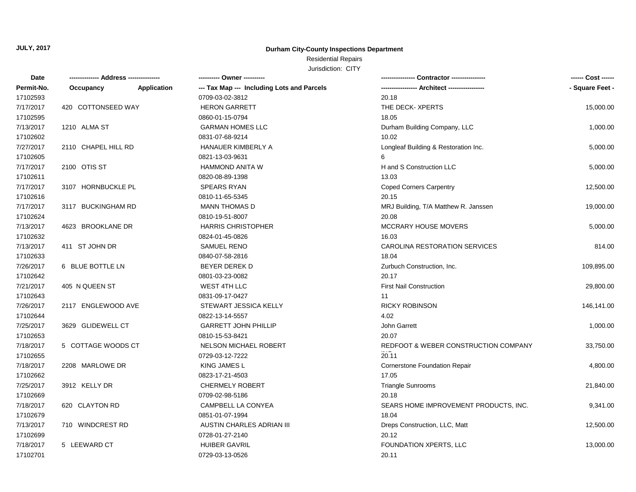#### **Durham City-County Inspections Department**

# Residential Repairs

| <b>Date</b> |                     |                    | ---------- Owner ----------                |                                       | ------ Cost ------ |
|-------------|---------------------|--------------------|--------------------------------------------|---------------------------------------|--------------------|
| Permit-No.  | Occupancy           | <b>Application</b> | --- Tax Map --- Including Lots and Parcels |                                       | - Square Feet -    |
| 17102593    |                     |                    | 0709-03-02-3812                            | 20.18                                 |                    |
| 7/17/2017   | 420 COTTONSEED WAY  |                    | <b>HERON GARRETT</b>                       | THE DECK- XPERTS                      | 15,000.00          |
| 17102595    |                     |                    | 0860-01-15-0794                            | 18.05                                 |                    |
| 7/13/2017   | 1210 ALMA ST        |                    | <b>GARMAN HOMES LLC</b>                    | Durham Building Company, LLC          | 1,000.00           |
| 17102602    |                     |                    | 0831-07-68-9214                            | 10.02                                 |                    |
| 7/27/2017   | 2110 CHAPEL HILL RD |                    | HANAUER KIMBERLY A                         | Longleaf Building & Restoration Inc.  | 5,000.00           |
| 17102605    |                     |                    | 0821-13-03-9631                            | 6                                     |                    |
| 7/17/2017   | 2100 OTIS ST        |                    | <b>HAMMOND ANITA W</b>                     | H and S Construction LLC              | 5,000.00           |
| 17102611    |                     |                    | 0820-08-89-1398                            | 13.03                                 |                    |
| 7/17/2017   | 3107 HORNBUCKLE PL  |                    | <b>SPEARS RYAN</b>                         | <b>Coped Corners Carpentry</b>        | 12,500.00          |
| 17102616    |                     |                    | 0810-11-65-5345                            | 20.15                                 |                    |
| 7/17/2017   | 3117 BUCKINGHAM RD  |                    | MANN THOMAS D                              | MRJ Building, T/A Matthew R. Janssen  | 19,000.00          |
| 17102624    |                     |                    | 0810-19-51-8007                            | 20.08                                 |                    |
| 7/13/2017   | 4623 BROOKLANE DR   |                    | <b>HARRIS CHRISTOPHER</b>                  | <b>MCCRARY HOUSE MOVERS</b>           | 5,000.00           |
| 17102632    |                     |                    | 0824-01-45-0826                            | 16.03                                 |                    |
| 7/13/2017   | 411 ST JOHN DR      |                    | SAMUEL RENO                                | CAROLINA RESTORATION SERVICES         | 814.00             |
| 17102633    |                     |                    | 0840-07-58-2816                            | 18.04                                 |                    |
| 7/26/2017   | 6 BLUE BOTTLE LN    |                    | <b>BEYER DEREK D</b>                       | Zurbuch Construction, Inc.            | 109,895.00         |
| 17102642    |                     |                    | 0801-03-23-0082                            | 20.17                                 |                    |
| 7/21/2017   | 405 N QUEEN ST      |                    | WEST 4TH LLC                               | <b>First Nail Construction</b>        | 29,800.00          |
| 17102643    |                     |                    | 0831-09-17-0427                            | 11                                    |                    |
| 7/26/2017   | 2117 ENGLEWOOD AVE  |                    | STEWART JESSICA KELLY                      | <b>RICKY ROBINSON</b>                 | 146,141.00         |
| 17102644    |                     |                    | 0822-13-14-5557                            | 4.02                                  |                    |
| 7/25/2017   | 3629 GLIDEWELL CT   |                    | <b>GARRETT JOHN PHILLIP</b>                | John Garrett                          | 1,000.00           |
| 17102653    |                     |                    | 0810-15-53-8421                            | 20.07                                 |                    |
| 7/18/2017   | 5 COTTAGE WOODS CT  |                    | NELSON MICHAEL ROBERT                      | REDFOOT & WEBER CONSTRUCTION COMPANY  | 33,750.00          |
| 17102655    |                     |                    | 0729-03-12-7222                            | 20.11                                 |                    |
| 7/18/2017   | 2208 MARLOWE DR     |                    | KING JAMES L                               | <b>Cornerstone Foundation Repair</b>  | 4,800.00           |
| 17102662    |                     |                    | 0823-17-21-4503                            | 17.05                                 |                    |
| 7/25/2017   | 3912 KELLY DR       |                    | <b>CHERMELY ROBERT</b>                     | <b>Triangle Sunrooms</b>              | 21,840.00          |
| 17102669    |                     |                    | 0709-02-98-5186                            | 20.18                                 |                    |
| 7/18/2017   | 620 CLAYTON RD      |                    | CAMPBELL LA CONYEA                         | SEARS HOME IMPROVEMENT PRODUCTS, INC. | 9,341.00           |
| 17102679    |                     |                    | 0851-01-07-1994                            | 18.04                                 |                    |
| 7/13/2017   | 710 WINDCREST RD    |                    | AUSTIN CHARLES ADRIAN III                  | Dreps Construction, LLC, Matt         | 12,500.00          |
| 17102699    |                     |                    | 0728-01-27-2140                            | 20.12                                 |                    |
| 7/18/2017   | 5 LEEWARD CT        |                    | <b>HUIBER GAVRIL</b>                       | FOUNDATION XPERTS, LLC                | 13,000.00          |
| 17102701    |                     |                    | 0729-03-13-0526                            | 20.11                                 |                    |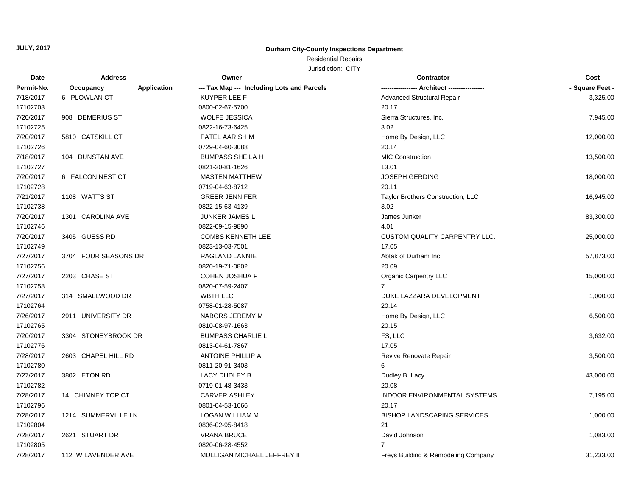#### **Durham City-County Inspections Department**

## Residential Repairs

| Date       | -------------- Address --------------- | ---------- Owner ----------                |                                      | ------ Cost ------ |
|------------|----------------------------------------|--------------------------------------------|--------------------------------------|--------------------|
| Permit-No. | Occupancy<br>Application               | --- Tax Map --- Including Lots and Parcels |                                      | - Square Feet -    |
| 7/18/2017  | 6 PLOWLAN CT                           | KUYPER LEE F                               | Advanced Structural Repair           | 3,325.00           |
| 17102703   |                                        | 0800-02-67-5700                            | 20.17                                |                    |
| 7/20/2017  | 908 DEMERIUS ST                        | WOLFE JESSICA                              | Sierra Structures, Inc.              | 7,945.00           |
| 17102725   |                                        | 0822-16-73-6425                            | 3.02                                 |                    |
| 7/20/2017  | 5810 CATSKILL CT                       | PATEL AARISH M                             | Home By Design, LLC                  | 12,000.00          |
| 17102726   |                                        | 0729-04-60-3088                            | 20.14                                |                    |
| 7/18/2017  | 104 DUNSTAN AVE                        | <b>BUMPASS SHEILA H</b>                    | <b>MIC Construction</b>              | 13,500.00          |
| 17102727   |                                        | 0821-20-81-1626                            | 13.01                                |                    |
| 7/20/2017  | 6 FALCON NEST CT                       | <b>MASTEN MATTHEW</b>                      | JOSEPH GERDING                       | 18,000.00          |
| 17102728   |                                        | 0719-04-63-8712                            | 20.11                                |                    |
| 7/21/2017  | 1108 WATTS ST                          | <b>GREER JENNIFER</b>                      | Taylor Brothers Construction, LLC    | 16,945.00          |
| 17102738   |                                        | 0822-15-63-4139                            | 3.02                                 |                    |
| 7/20/2017  | 1301 CAROLINA AVE                      | JUNKER JAMES L                             | James Junker                         | 83,300.00          |
| 17102746   |                                        | 0822-09-15-9890                            | 4.01                                 |                    |
| 7/20/2017  | 3405 GUESS RD                          | <b>COMBS KENNETH LEE</b>                   | <b>CUSTOM QUALITY CARPENTRY LLC.</b> | 25,000.00          |
| 17102749   |                                        | 0823-13-03-7501                            | 17.05                                |                    |
| 7/27/2017  | 3704 FOUR SEASONS DR                   | RAGLAND LANNIE                             | Abtak of Durham Inc                  | 57,873.00          |
| 17102756   |                                        | 0820-19-71-0802                            | 20.09                                |                    |
| 7/27/2017  | 2203 CHASE ST                          | <b>COHEN JOSHUA P</b>                      | <b>Organic Carpentry LLC</b>         | 15,000.00          |
| 17102758   |                                        | 0820-07-59-2407                            | $\overline{7}$                       |                    |
| 7/27/2017  | 314 SMALLWOOD DR                       | WBTH LLC                                   | DUKE LAZZARA DEVELOPMENT             | 1,000.00           |
| 17102764   |                                        | 0758-01-28-5087                            | 20.14                                |                    |
| 7/26/2017  | 2911 UNIVERSITY DR                     | NABORS JEREMY M                            | Home By Design, LLC                  | 6,500.00           |
| 17102765   |                                        | 0810-08-97-1663                            | 20.15                                |                    |
| 7/20/2017  | 3304 STONEYBROOK DR                    | <b>BUMPASS CHARLIE L</b>                   | FS, LLC                              | 3,632.00           |
| 17102776   |                                        | 0813-04-61-7867                            | 17.05                                |                    |
| 7/28/2017  | 2603 CHAPEL HILL RD                    | <b>ANTOINE PHILLIP A</b>                   | Revive Renovate Repair               | 3,500.00           |
| 17102780   |                                        | 0811-20-91-3403                            | 6                                    |                    |
| 7/27/2017  | 3802 ETON RD                           | LACY DUDLEY B                              | Dudley B. Lacy                       | 43,000.00          |
| 17102782   |                                        | 0719-01-48-3433                            | 20.08                                |                    |
| 7/28/2017  | 14 CHIMNEY TOP CT                      | <b>CARVER ASHLEY</b>                       | INDOOR ENVIRONMENTAL SYSTEMS         | 7,195.00           |
| 17102796   |                                        | 0801-04-53-1666                            | 20.17                                |                    |
| 7/28/2017  | 1214 SUMMERVILLE LN                    | LOGAN WILLIAM M                            | <b>BISHOP LANDSCAPING SERVICES</b>   | 1,000.00           |
| 17102804   |                                        | 0836-02-95-8418                            | 21                                   |                    |
| 7/28/2017  | 2621 STUART DR                         | <b>VRANA BRUCE</b>                         | David Johnson                        | 1,083.00           |
| 17102805   |                                        | 0820-06-28-4552                            |                                      |                    |
| 7/28/2017  | 112 W LAVENDER AVE                     | MULLIGAN MICHAEL JEFFREY II                | Freys Building & Remodeling Company  | 31,233.00          |